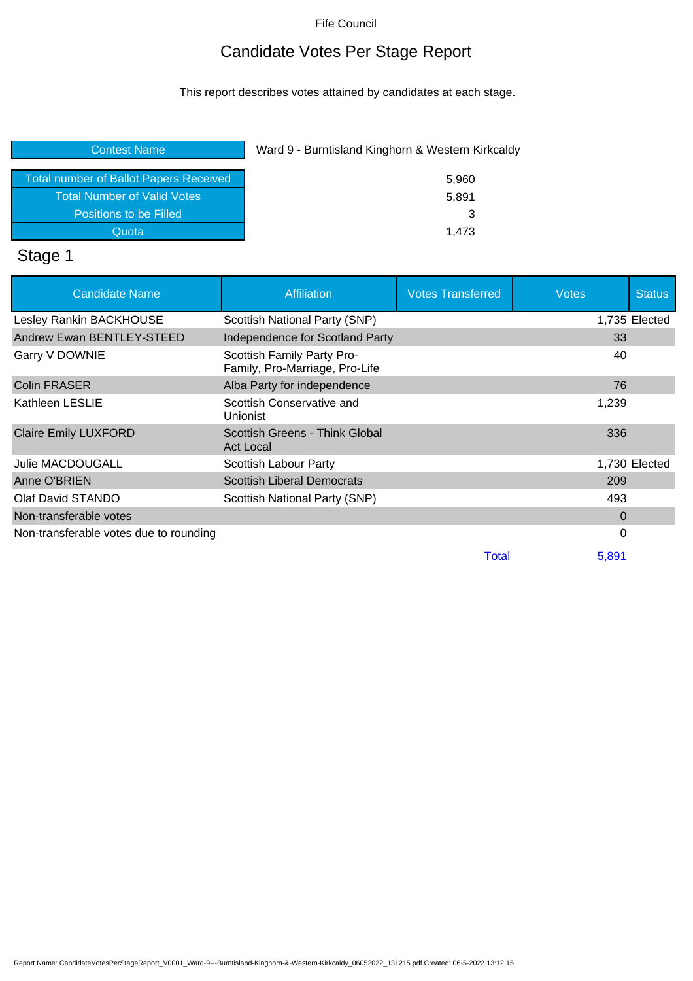## Candidate Votes Per Stage Report

This report describes votes attained by candidates at each stage.

| <b>Contest Name</b>                    | Ward 9 - Burntisland Kinghorn & Western Kirkcaldy |
|----------------------------------------|---------------------------------------------------|
| Total number of Ballot Papers Received | 5,960                                             |
| <b>Total Number of Valid Votes</b>     | 5,891                                             |
| Positions to be Filled                 | 3                                                 |
| Quota                                  | 1.473                                             |
|                                        |                                                   |

### Stage 1

| <b>Candidate Name</b>                  | <b>Affiliation</b>                                           | <b>Votes Transferred</b> | <b>Votes</b> | <b>Status</b> |
|----------------------------------------|--------------------------------------------------------------|--------------------------|--------------|---------------|
| Lesley Rankin BACKHOUSE                | Scottish National Party (SNP)                                |                          |              | 1,735 Elected |
| Andrew Ewan BENTLEY-STEED              | Independence for Scotland Party                              |                          | 33           |               |
| Garry V DOWNIE                         | Scottish Family Party Pro-<br>Family, Pro-Marriage, Pro-Life |                          | 40           |               |
| <b>Colin FRASER</b>                    | Alba Party for independence                                  |                          | 76           |               |
| Kathleen LESLIE                        | Scottish Conservative and<br>Unionist                        |                          | 1,239        |               |
| <b>Claire Emily LUXFORD</b>            | Scottish Greens - Think Global<br>Act Local                  |                          | 336          |               |
| Julie MACDOUGALL                       | Scottish Labour Party                                        |                          |              | 1,730 Elected |
| Anne O'BRIEN                           | <b>Scottish Liberal Democrats</b>                            |                          | 209          |               |
| Olaf David STANDO                      | Scottish National Party (SNP)                                |                          | 493          |               |
| Non-transferable votes                 |                                                              |                          | $\Omega$     |               |
| Non-transferable votes due to rounding |                                                              |                          | 0            |               |
|                                        |                                                              | Total                    | 5,891        |               |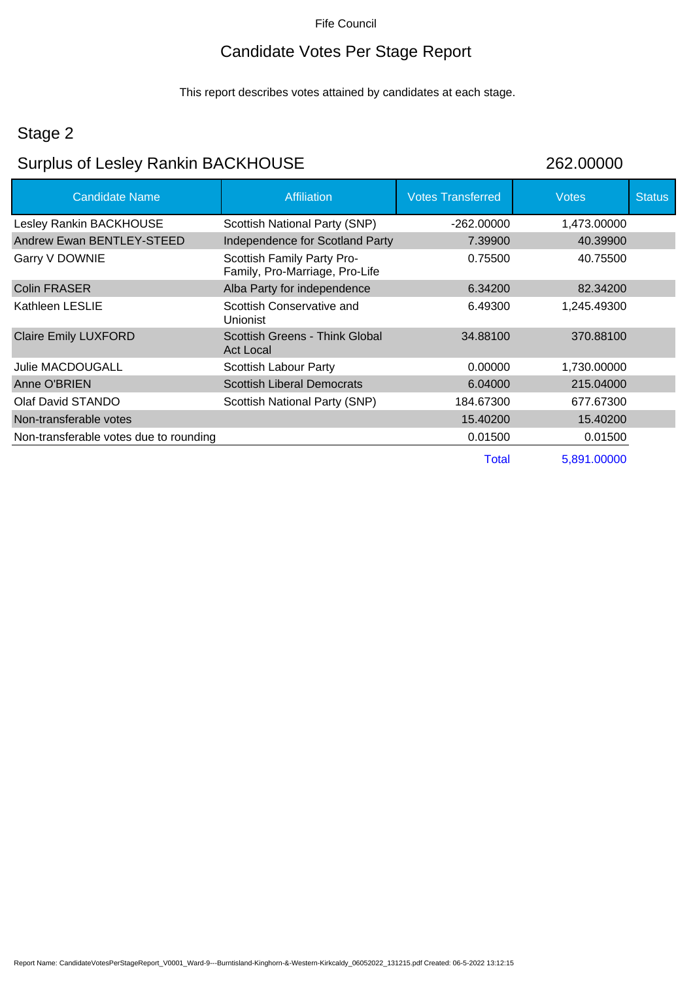## Candidate Votes Per Stage Report

This report describes votes attained by candidates at each stage.

### Stage 2

## Surplus of Lesley Rankin BACKHOUSE 262.00000

| <b>Candidate Name</b>                  | <b>Affiliation</b>                                           | <b>Votes Transferred</b> | <b>Votes</b> | <b>Status</b> |
|----------------------------------------|--------------------------------------------------------------|--------------------------|--------------|---------------|
| Lesley Rankin BACKHOUSE                | Scottish National Party (SNP)                                | -262.00000               | 1,473.00000  |               |
| Andrew Ewan BENTLEY-STEED              | Independence for Scotland Party                              | 7.39900                  | 40.39900     |               |
| Garry V DOWNIE                         | Scottish Family Party Pro-<br>Family, Pro-Marriage, Pro-Life | 0.75500                  | 40.75500     |               |
| <b>Colin FRASER</b>                    | Alba Party for independence                                  | 6.34200                  | 82,34200     |               |
| Kathleen LESLIE                        | Scottish Conservative and<br><b>Unionist</b>                 | 6.49300                  | 1,245.49300  |               |
| <b>Claire Emily LUXFORD</b>            | Scottish Greens - Think Global<br><b>Act Local</b>           | 34.88100                 | 370.88100    |               |
| <b>Julie MACDOUGALL</b>                | Scottish Labour Party                                        | 0.00000                  | 1,730.00000  |               |
| Anne O'BRIEN                           | <b>Scottish Liberal Democrats</b>                            | 6.04000                  | 215.04000    |               |
| Olaf David STANDO                      | Scottish National Party (SNP)                                | 184.67300                | 677.67300    |               |
| Non-transferable votes                 |                                                              | 15.40200                 | 15.40200     |               |
| Non-transferable votes due to rounding |                                                              | 0.01500                  | 0.01500      |               |
|                                        |                                                              | Total                    | 5,891.00000  |               |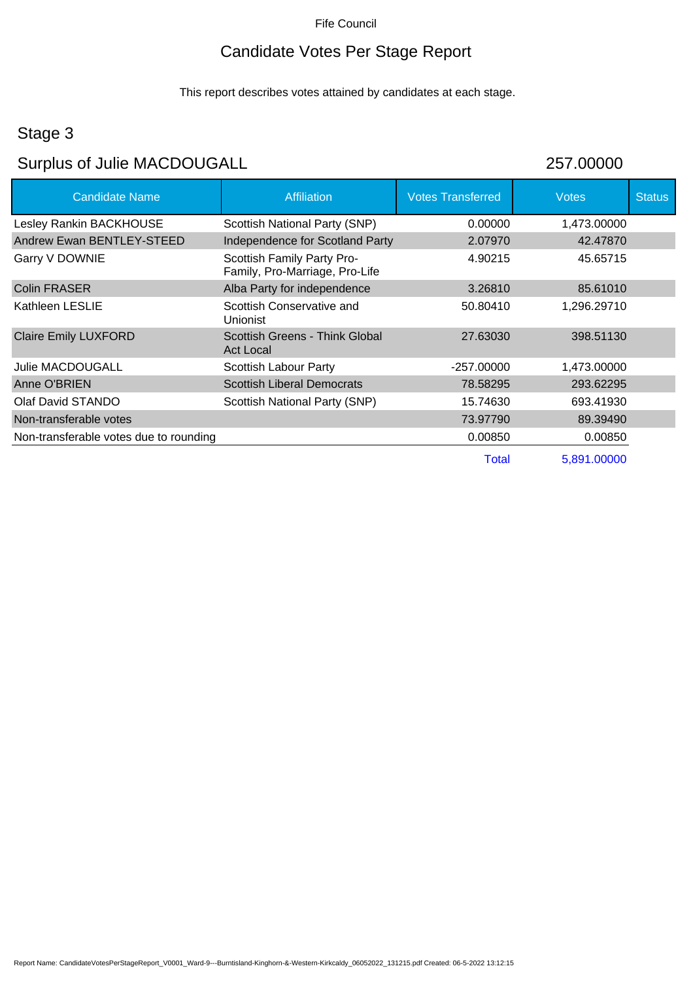## Candidate Votes Per Stage Report

This report describes votes attained by candidates at each stage.

## Stage 3

ı

# Surplus of Julie MACDOUGALL 257.00000

| <b>Candidate Name</b>                  | <b>Affiliation</b>                                           | <b>Votes Transferred</b> | <b>Votes</b> | <b>Status</b> |
|----------------------------------------|--------------------------------------------------------------|--------------------------|--------------|---------------|
| Lesley Rankin BACKHOUSE                | Scottish National Party (SNP)                                | 0.00000                  | 1,473.00000  |               |
| Andrew Ewan BENTLEY-STEED              | Independence for Scotland Party                              | 2.07970                  | 42.47870     |               |
| Garry V DOWNIE                         | Scottish Family Party Pro-<br>Family, Pro-Marriage, Pro-Life | 4.90215                  | 45.65715     |               |
| Colin FRASER                           | Alba Party for independence                                  | 3.26810                  | 85.61010     |               |
| Kathleen LESLIE                        | Scottish Conservative and<br>Unionist                        | 50.80410                 | 1,296.29710  |               |
| <b>Claire Emily LUXFORD</b>            | Scottish Greens - Think Global<br><b>Act Local</b>           | 27.63030                 | 398.51130    |               |
| Julie MACDOUGALL                       | Scottish Labour Party                                        | $-257.00000$             | 1,473.00000  |               |
| Anne O'BRIEN                           | <b>Scottish Liberal Democrats</b>                            | 78.58295                 | 293.62295    |               |
| Olaf David STANDO                      | Scottish National Party (SNP)                                | 15.74630                 | 693.41930    |               |
| Non-transferable votes                 |                                                              | 73.97790                 | 89.39490     |               |
| Non-transferable votes due to rounding |                                                              | 0.00850                  | 0.00850      |               |
|                                        |                                                              | <b>Total</b>             | 5,891.00000  |               |
|                                        |                                                              |                          |              |               |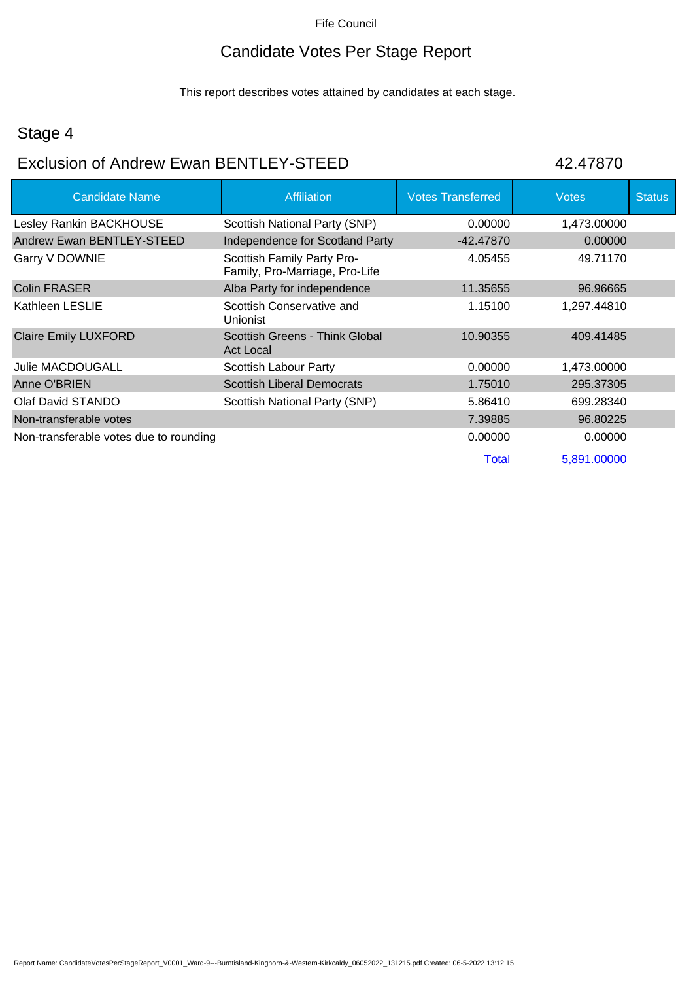## Candidate Votes Per Stage Report

This report describes votes attained by candidates at each stage.

### Stage 4

# Exclusion of Andrew Ewan BENTLEY-STEED 42.47870

| <b>Candidate Name</b>                  | <b>Affiliation</b>                                           | <b>Votes Transferred</b> | <b>Votes</b> | <b>Status</b> |
|----------------------------------------|--------------------------------------------------------------|--------------------------|--------------|---------------|
| Lesley Rankin BACKHOUSE                | Scottish National Party (SNP)                                | 0.00000                  | 1,473.00000  |               |
| Andrew Ewan BENTLEY-STEED              | Independence for Scotland Party                              | -42.47870                | 0.00000      |               |
| Garry V DOWNIE                         | Scottish Family Party Pro-<br>Family, Pro-Marriage, Pro-Life | 4.05455                  | 49.71170     |               |
| <b>Colin FRASER</b>                    | Alba Party for independence                                  | 11.35655                 | 96.96665     |               |
| Kathleen LESLIE                        | Scottish Conservative and<br><b>Unionist</b>                 | 1.15100                  | 1,297.44810  |               |
| <b>Claire Emily LUXFORD</b>            | Scottish Greens - Think Global<br><b>Act Local</b>           | 10.90355                 | 409.41485    |               |
| <b>Julie MACDOUGALL</b>                | Scottish Labour Party                                        | 0.00000                  | 1,473.00000  |               |
| Anne O'BRIEN                           | <b>Scottish Liberal Democrats</b>                            | 1.75010                  | 295.37305    |               |
| Olaf David STANDO                      | Scottish National Party (SNP)                                | 5.86410                  | 699.28340    |               |
| Non-transferable votes                 |                                                              | 7.39885                  | 96.80225     |               |
| Non-transferable votes due to rounding |                                                              | 0.00000                  | 0.00000      |               |
|                                        |                                                              | Total                    | 5,891.00000  |               |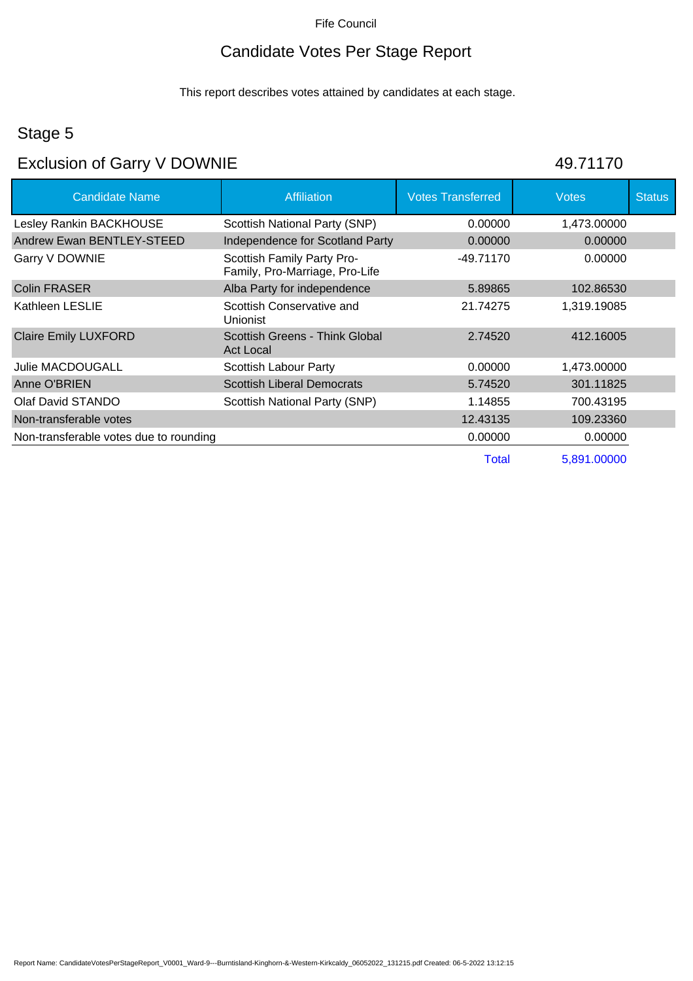## Candidate Votes Per Stage Report

This report describes votes attained by candidates at each stage.

### Stage 5

## Exclusion of Garry V DOWNIE 49.71170

| <b>Candidate Name</b>                  | <b>Affiliation</b>                                           | <b>Votes Transferred</b> | <b>Votes</b> | <b>Status</b> |
|----------------------------------------|--------------------------------------------------------------|--------------------------|--------------|---------------|
| Lesley Rankin BACKHOUSE                | Scottish National Party (SNP)                                | 0.00000                  | 1,473.00000  |               |
| Andrew Ewan BENTLEY-STEED              | Independence for Scotland Party                              | 0.00000                  | 0.00000      |               |
| Garry V DOWNIE                         | Scottish Family Party Pro-<br>Family, Pro-Marriage, Pro-Life | -49.71170                | 0.00000      |               |
| <b>Colin FRASER</b>                    | Alba Party for independence                                  | 5.89865                  | 102.86530    |               |
| Kathleen LESLIE                        | Scottish Conservative and<br>Unionist                        | 21.74275                 | 1,319.19085  |               |
| <b>Claire Emily LUXFORD</b>            | Scottish Greens - Think Global<br><b>Act Local</b>           | 2.74520                  | 412.16005    |               |
| <b>Julie MACDOUGALL</b>                | Scottish Labour Party                                        | 0.00000                  | 1,473.00000  |               |
| Anne O'BRIEN                           | <b>Scottish Liberal Democrats</b>                            | 5.74520                  | 301.11825    |               |
| Olaf David STANDO                      | Scottish National Party (SNP)                                | 1.14855                  | 700.43195    |               |
| Non-transferable votes                 |                                                              | 12.43135                 | 109.23360    |               |
| Non-transferable votes due to rounding |                                                              | 0.00000                  | 0.00000      |               |
|                                        |                                                              | Total                    | 5,891.00000  |               |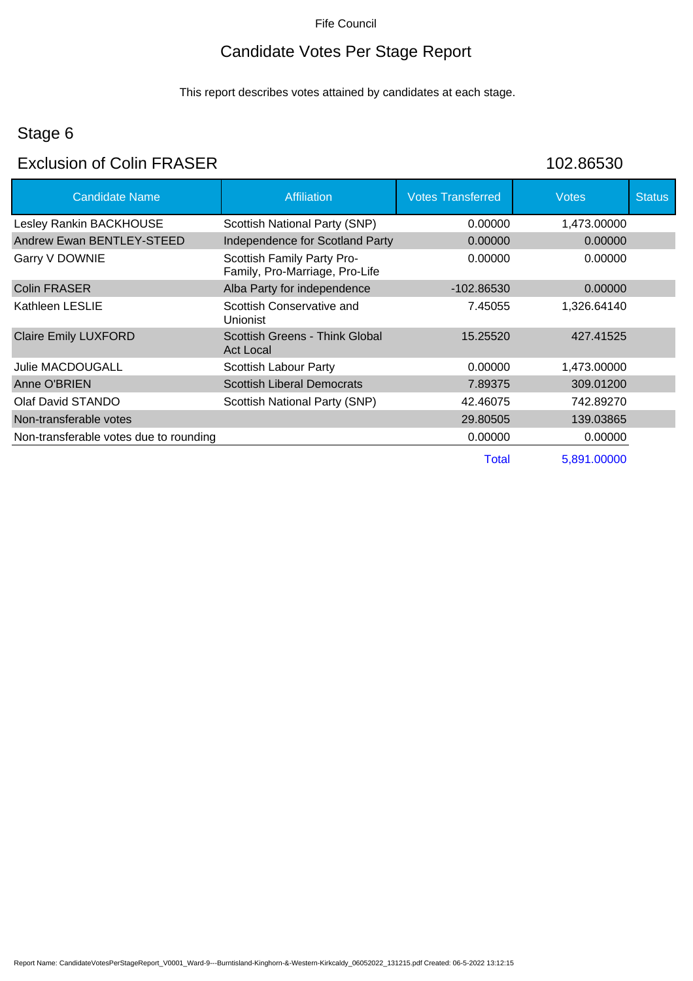### Candidate Votes Per Stage Report

This report describes votes attained by candidates at each stage.

### Stage 6

### Exclusion of Colin FRASER 102.86530

| <b>Candidate Name</b>                  | Affiliation                                                  | <b>Votes Transferred</b> | <b>Votes</b> | <b>Status</b> |
|----------------------------------------|--------------------------------------------------------------|--------------------------|--------------|---------------|
| Lesley Rankin BACKHOUSE                | Scottish National Party (SNP)                                | 0.00000                  | 1,473.00000  |               |
| Andrew Ewan BENTLEY-STEED              | Independence for Scotland Party                              | 0.00000                  | 0.00000      |               |
| Garry V DOWNIE                         | Scottish Family Party Pro-<br>Family, Pro-Marriage, Pro-Life | 0.00000                  | 0.00000      |               |
| Colin FRASER                           | Alba Party for independence                                  | -102.86530               | 0.00000      |               |
| Kathleen LESLIE                        | Scottish Conservative and<br><b>Unionist</b>                 | 7.45055                  | 1,326.64140  |               |
| <b>Claire Emily LUXFORD</b>            | Scottish Greens - Think Global<br>Act Local                  | 15.25520                 | 427.41525    |               |
| Julie MACDOUGALL                       | Scottish Labour Party                                        | 0.00000                  | 1,473.00000  |               |
| Anne O'BRIEN                           | <b>Scottish Liberal Democrats</b>                            | 7.89375                  | 309.01200    |               |
| Olaf David STANDO                      | Scottish National Party (SNP)                                | 42.46075                 | 742.89270    |               |
| Non-transferable votes                 |                                                              | 29.80505                 | 139.03865    |               |
| Non-transferable votes due to rounding |                                                              | 0.00000                  | 0.00000      |               |
|                                        |                                                              | <b>Total</b>             | 5,891.00000  |               |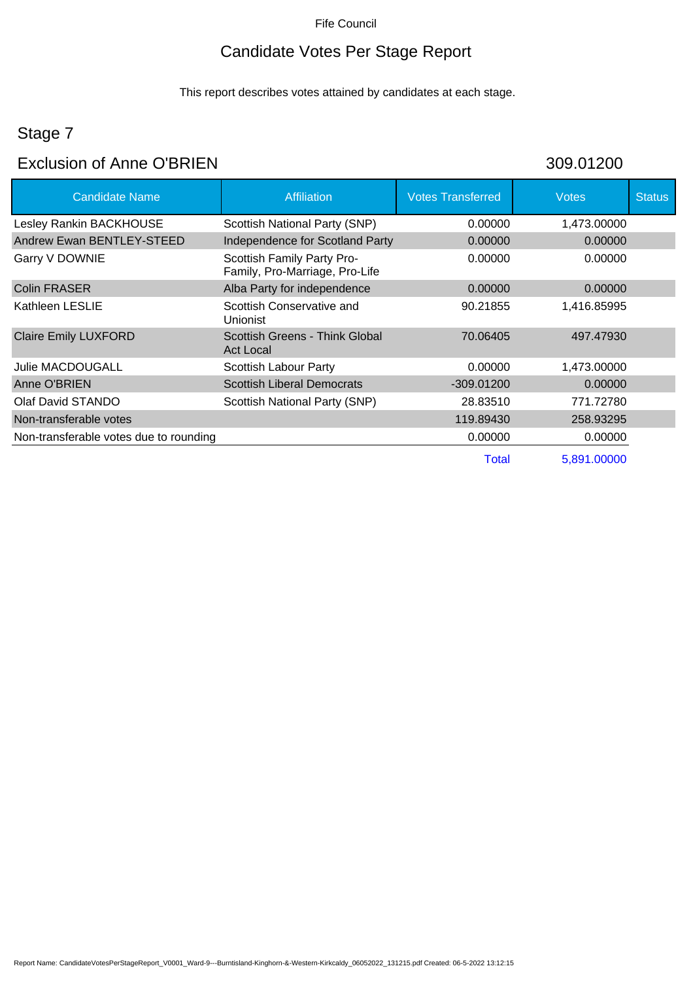## Candidate Votes Per Stage Report

This report describes votes attained by candidates at each stage.

## Stage 7

### Exclusion of Anne O'BRIEN 309.01200

| <b>Candidate Name</b>                  | Affiliation                                                  | <b>Votes Transferred</b> | Votes       | <b>Status</b> |
|----------------------------------------|--------------------------------------------------------------|--------------------------|-------------|---------------|
| Lesley Rankin BACKHOUSE                | Scottish National Party (SNP)                                | 0.00000                  | 1,473.00000 |               |
| Andrew Ewan BENTLEY-STEED              | Independence for Scotland Party                              | 0.00000                  | 0.00000     |               |
| Garry V DOWNIE                         | Scottish Family Party Pro-<br>Family, Pro-Marriage, Pro-Life | 0.00000                  | 0.00000     |               |
| <b>Colin FRASER</b>                    | Alba Party for independence                                  | 0.00000                  | 0.00000     |               |
| Kathleen LESLIE                        | Scottish Conservative and<br>Unionist                        | 90.21855                 | 1,416.85995 |               |
| <b>Claire Emily LUXFORD</b>            | Scottish Greens - Think Global<br>Act Local                  | 70.06405                 | 497.47930   |               |
| <b>Julie MACDOUGALL</b>                | Scottish Labour Party                                        | 0.00000                  | 1,473.00000 |               |
| Anne O'BRIEN                           | <b>Scottish Liberal Democrats</b>                            | -309.01200               | 0.00000     |               |
| Olaf David STANDO                      | Scottish National Party (SNP)                                | 28.83510                 | 771.72780   |               |
| Non-transferable votes                 |                                                              | 119.89430                | 258,93295   |               |
| Non-transferable votes due to rounding |                                                              | 0.00000                  | 0.00000     |               |
|                                        |                                                              | Total                    | 5,891.00000 |               |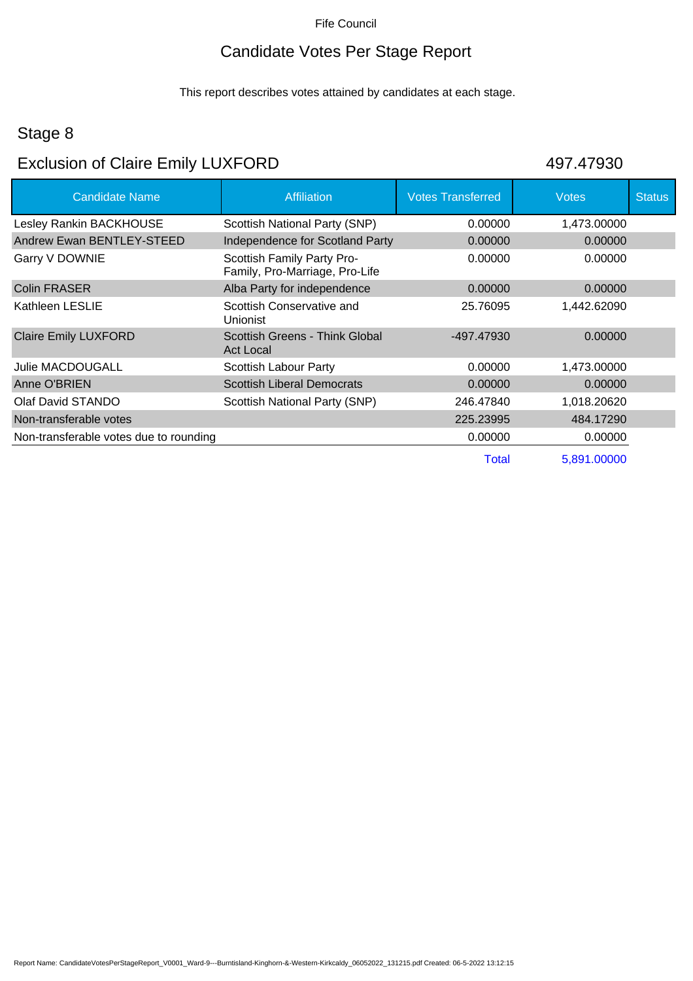## Candidate Votes Per Stage Report

This report describes votes attained by candidates at each stage.

### Stage 8

# Exclusion of Claire Emily LUXFORD 497.47930

| <b>Candidate Name</b>                  | <b>Affiliation</b>                                           | <b>Votes Transferred</b> | Votes       | <b>Status</b> |
|----------------------------------------|--------------------------------------------------------------|--------------------------|-------------|---------------|
| Lesley Rankin BACKHOUSE                | Scottish National Party (SNP)                                | 0.00000                  | 1,473.00000 |               |
| Andrew Ewan BENTLEY-STEED              | Independence for Scotland Party                              | 0.00000                  | 0.00000     |               |
| Garry V DOWNIE                         | Scottish Family Party Pro-<br>Family, Pro-Marriage, Pro-Life | 0.00000                  | 0.00000     |               |
| <b>Colin FRASER</b>                    | Alba Party for independence                                  | 0.00000                  | 0.00000     |               |
| Kathleen LESLIE                        | Scottish Conservative and<br>Unionist                        | 25.76095                 | 1,442.62090 |               |
| <b>Claire Emily LUXFORD</b>            | Scottish Greens - Think Global<br>Act Local                  | -497.47930               | 0.00000     |               |
| <b>Julie MACDOUGALL</b>                | Scottish Labour Party                                        | 0.00000                  | 1,473.00000 |               |
| Anne O'BRIEN                           | <b>Scottish Liberal Democrats</b>                            | 0.00000                  | 0.00000     |               |
| Olaf David STANDO                      | Scottish National Party (SNP)                                | 246.47840                | 1,018.20620 |               |
| Non-transferable votes                 |                                                              | 225.23995                | 484.17290   |               |
| Non-transferable votes due to rounding |                                                              | 0.00000                  | 0.00000     |               |
|                                        |                                                              | Total                    | 5,891.00000 |               |